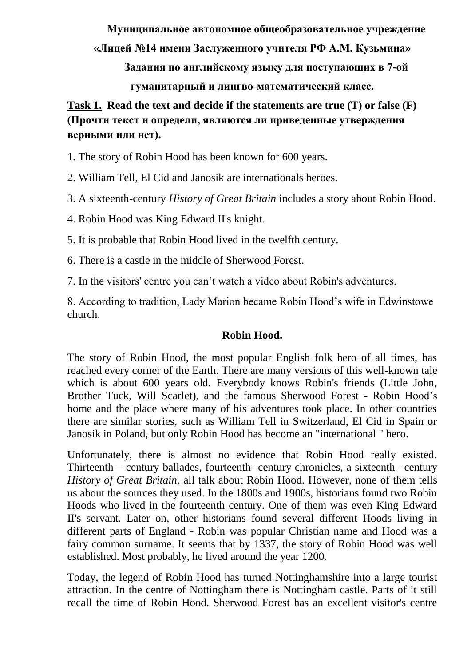**Муниципальное автономное общеобразовательное учреждение** 

**«Лицей №14 имени Заслуженного учителя РФ А.М. Кузьмина»**

**Задания по английскому языку для поступающих в 7-ой** 

**гуманитарный и лингво-математический класс.**

**Task 1. Read the text and decide if the statements are true (T) or false (F) (Прочти текст и определи, являются ли приведенные утверждения верными или нет).**

1. The story of Robin Hood has been known for 600 years.

2. William Tell, El Cid and Janosik are internationals heroes.

3. A sixteenth-century *History of Great Britain* includes a story about Robin Hood.

4. Robin Hood was King Edward II's knight.

5. It is probable that Robin Hood lived in the twelfth century.

6. There is a castle in the middle of Sherwood Forest.

7. In the visitors' centre you can't watch a video about Robin's adventures.

8. According to tradition, Lady Marion became Robin Hood's wife in Edwinstowe church.

### **Robin Hood.**

The story of Robin Hood, the most popular English folk hero of all times, has reached every corner of the Earth. There are many versions of this well-known tale which is about 600 years old. Everybody knows Robin's friends (Little John, Brother Tuck, Will Scarlet), and the famous Sherwood Forest - Robin Hood's home and the place where many of his adventures took place. In other countries there are similar stories, such as William Tell in Switzerland, El Cid in Spain or Janosik in Poland, but only Robin Hood has become an "international " hero.

Unfortunately, there is almost no evidence that Robin Hood really existed. Thirteenth – century ballades, fourteenth- century chronicles, a sixteenth –century *History of Great Britain,* all talk about Robin Hood. However, none of them tells us about the sources they used. In the 1800s and 1900s, historians found two Robin Hoods who lived in the fourteenth century. One of them was even King Edward II's servant. Later on, other historians found several different Hoods living in different parts of England - Robin was popular Christian name and Hood was a fairy common surname. It seems that by 1337, the story of Robin Hood was well established. Most probably, he lived around the year 1200.

Today, the legend of Robin Hood has turned Nottinghamshire into a large tourist attraction. In the centre of Nottingham there is Nottingham castle. Parts of it still recall the time of Robin Hood. Sherwood Forest has an excellent visitor's centre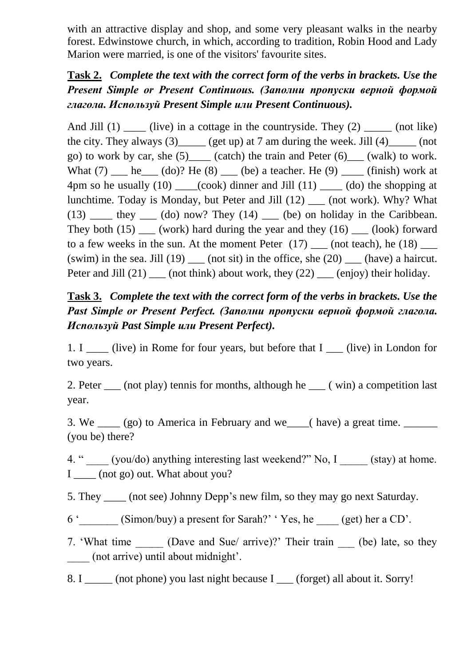with an attractive display and shop, and some very pleasant walks in the nearby forest. Edwinstowe church, in which, according to tradition, Robin Hood and Lady Marion were married, is one of the visitors' favourite sites.

# **Task 2.** *Complete the text with the correct form of the verbs in brackets. Use the Present Simple or Present Continuous. (Заполни пропуски верной формой глагола. Используй Present Simple или Present Continuous).*

And Jill  $(1)$  (live) in a cottage in the countryside. They  $(2)$  (not like) the city. They always  $(3)$  (get up) at 7 am during the week. Jill  $(4)$  (not go) to work by car, she  $(5)$  (catch) the train and Peter  $(6)$  (walk) to work. What  $(7)$  he  $(60)$ ? He  $(8)$  (be) a teacher. He  $(9)$  (finish) work at 4pm so he usually  $(10)$   $(cook)$  dinner and Jill  $(11)$   $(do)$  the shopping at lunchtime. Today is Monday, but Peter and Jill (12) \_\_\_ (not work). Why? What  $(13)$   $\qquad$  they  $\qquad$  (do) now? They  $(14)$   $\qquad$  (be) on holiday in the Caribbean. They both  $(15)$  (work) hard during the year and they  $(16)$  (look) forward to a few weeks in the sun. At the moment Peter  $(17)$  \_\_\_ (not teach), he  $(18)$  \_\_\_\_ (swim) in the sea. Jill (19) (not sit) in the office, she  $(20)$  (have) a haircut. Peter and Jill  $(21)$  (not think) about work, they  $(22)$  (enjoy) their holiday.

# **Task 3.** *Complete the text with the correct form of the verbs in brackets. Use the Past Simple or Present Perfect. (Заполни пропуски верной формой глагола. Используй Past Simple или Present Perfect).*

1. I live) in Rome for four years, but before that I (live) in London for two years.

2. Peter  $\qquad$  (not play) tennis for months, although he  $\qquad$  ( win) a competition last year.

3. We  $\qquad$  (go) to America in February and we (have) a great time. (you be) there?

4. "  $(you/do)$  anything interesting last weekend?" No, I  $(stay)$  at home. I (not go) out. What about you?

5. They (not see) Johnny Depp's new film, so they may go next Saturday.

6 ' (Simon/buy) a present for Sarah?' ' Yes, he (get) her a CD'.

7. 'What time (Dave and Sue/ arrive)?' Their train (be) late, so they \_\_\_\_ (not arrive) until about midnight'.

8. I \_\_\_\_\_\_ (not phone) you last night because I \_\_\_\_ (forget) all about it. Sorry!